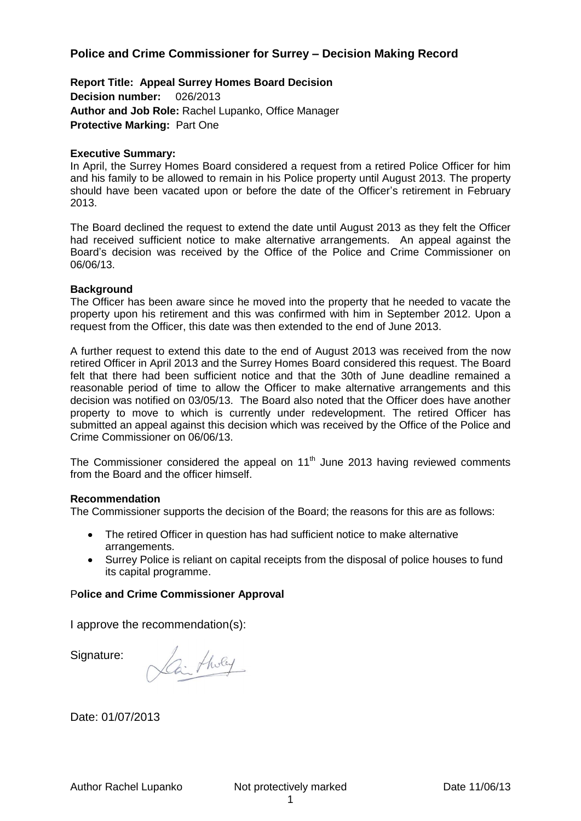## **Police and Crime Commissioner for Surrey – Decision Making Record**

**Report Title: Appeal Surrey Homes Board Decision Decision number:** 026/2013 **Author and Job Role:** Rachel Lupanko, Office Manager **Protective Marking:** Part One

#### **Executive Summary:**

In April, the Surrey Homes Board considered a request from a retired Police Officer for him and his family to be allowed to remain in his Police property until August 2013. The property should have been vacated upon or before the date of the Officer's retirement in February 2013.

The Board declined the request to extend the date until August 2013 as they felt the Officer had received sufficient notice to make alternative arrangements. An appeal against the Board's decision was received by the Office of the Police and Crime Commissioner on 06/06/13.

#### **Background**

The Officer has been aware since he moved into the property that he needed to vacate the property upon his retirement and this was confirmed with him in September 2012. Upon a request from the Officer, this date was then extended to the end of June 2013.

A further request to extend this date to the end of August 2013 was received from the now retired Officer in April 2013 and the Surrey Homes Board considered this request. The Board felt that there had been sufficient notice and that the 30th of June deadline remained a reasonable period of time to allow the Officer to make alternative arrangements and this decision was notified on 03/05/13. The Board also noted that the Officer does have another property to move to which is currently under redevelopment. The retired Officer has submitted an appeal against this decision which was received by the Office of the Police and Crime Commissioner on 06/06/13.

The Commissioner considered the appeal on  $11<sup>th</sup>$  June 2013 having reviewed comments from the Board and the officer himself.

#### **Recommendation**

The Commissioner supports the decision of the Board; the reasons for this are as follows:

- The retired Officer in question has had sufficient notice to make alternative arrangements.
- Surrey Police is reliant on capital receipts from the disposal of police houses to fund its capital programme.

#### P**olice and Crime Commissioner Approval**

I approve the recommendation(s):

Signature:

Lai tholey

Date: 01/07/2013